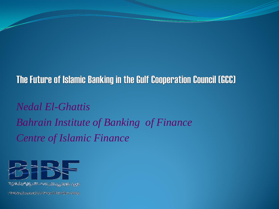## The Future of Islamic Banking in the Gulf Cooperation Council (GCC)

*Nedal El-Ghattis Bahrain Institute of Banking of Finance Centre of Islamic Finance*

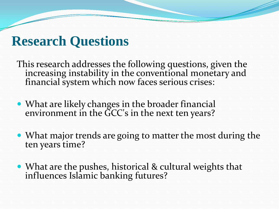# **Research Questions**

This research addresses the following questions, given the increasing instability in the conventional monetary and financial system which now faces serious crises:

- What are likely changes in the broader financial environment in the GCC's in the next ten years?
- What major trends are going to matter the most during the ten years time?
- What are the pushes, historical & cultural weights that influences Islamic banking futures?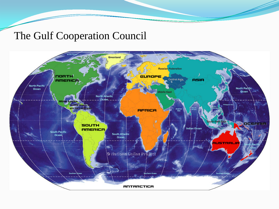### The Gulf Cooperation Council

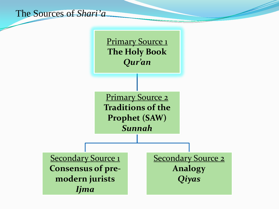

**Primary Source 1 The Holy Book** *Qur'an* 

**Primary Source 2 Traditions of the Prophet (SAW)** *Sunnah*

**Secondary Source 1 Consensus of premodern jurists** *Ijma*

**Secondary Source 2 Analogy** *Qiyas*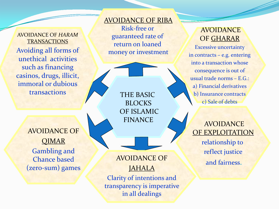AVOIDANCE OF *HARAM* **TRANSACTIONS** Avoiding all forms of unethical activities such as financing casinos, drugs, illicit, immoral or dubious transactions

#### AVOIDANCE OF RIBA

Risk-free or guaranteed rate of return on loaned money or investment

> THE BASIC **BLOCKS** OF ISLAMIC FINANCE

### AVOIDANCE OF QIMAR Gambling and Chance based (zero-sum) games

AVOIDANCE OF JAHALA

Clarity of intentions and transparency is imperative in all dealings

#### **AVOIDANCE** OF GHARAR

Excessive uncertainty in contracts – e.g. entering into a transaction whose consequence is out of usual trade norms – E.G.: a) Financial derivatives b) Insurance contracts c) Sale of debts

 AVOIDANCE OF EXPLOITATION relationship to reflect justice and fairness.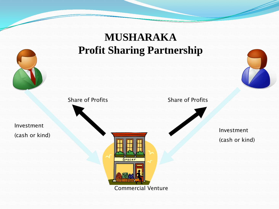## **MUSHARAKA Profit Sharing Partnership**



Investment (cash or kind)





Commercial Venture

Grocer

Investment (cash or kind)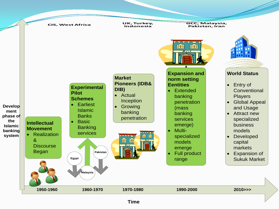

**Time**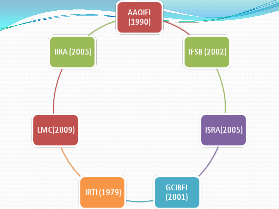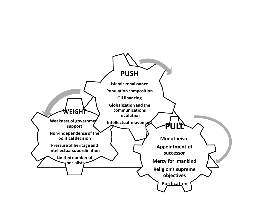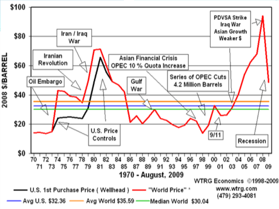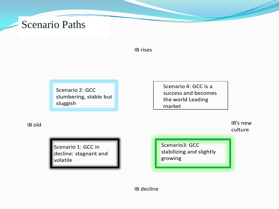## Scenario Paths

IB rises

Scenario 2: GCC slumbering, stable but sluggish

Scenario 4: GCC is a success and becomes the world Leading market

IB old

Scenario 1: GCC in decline: stagnant and volatile

IB's new culture

Scenario3: GCC stabilizing and slightly growing

IB decline